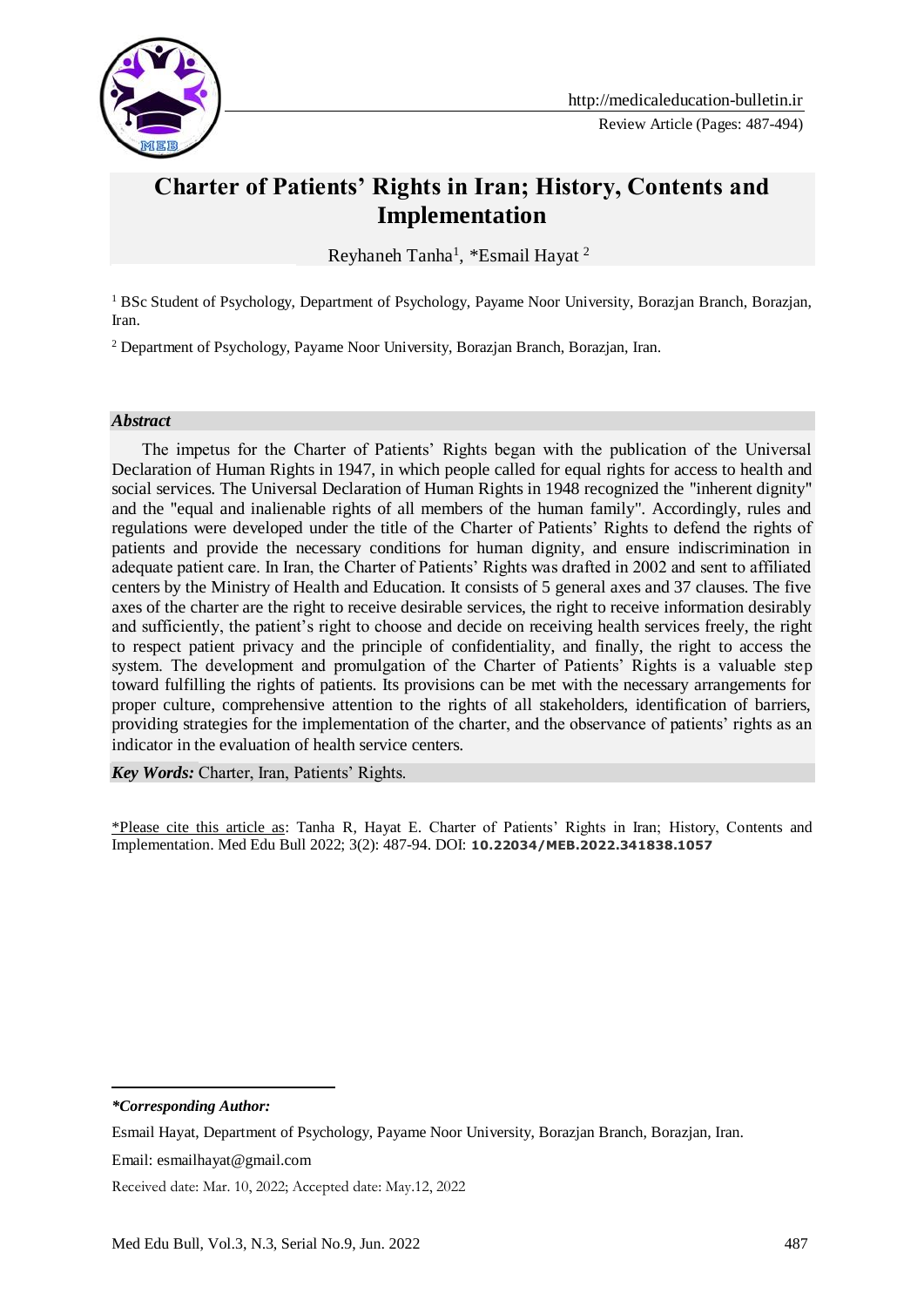

# **Charter of Patients' Rights in Iran; History, Contents and Implementation**

Reyhaneh Tanha<sup>1</sup>, \*Esmail Hayat<sup>2</sup>

<sup>1</sup> BSc Student of Psychology, Department of Psychology, Payame Noor University, Borazjan Branch, Borazjan, Iran.

<sup>2</sup> Department of Psychology, Payame Noor University, Borazjan Branch, Borazjan, Iran.

#### *Abstract*

 The impetus for the Charter of Patients' Rights began with the publication of the Universal Declaration of Human Rights in 1947, in which people called for equal rights for access to health and social services. The Universal Declaration of Human Rights in 1948 recognized the "inherent dignity" and the "equal and inalienable rights of all members of the human family". Accordingly, rules and regulations were developed under the title of the Charter of Patients' Rights to defend the rights of patients and provide the necessary conditions for human dignity, and ensure indiscrimination in adequate patient care. In Iran, the Charter of Patients' Rights was drafted in 2002 and sent to affiliated centers by the Ministry of Health and Education. It consists of 5 general axes and 37 clauses. The five axes of the charter are the right to receive desirable services, the right to receive information desirably and sufficiently, the patient's right to choose and decide on receiving health services freely, the right to respect patient privacy and the principle of confidentiality, and finally, the right to access the system. The development and promulgation of the Charter of Patients' Rights is a valuable step toward fulfilling the rights of patients. Its provisions can be met with the necessary arrangements for proper culture, comprehensive attention to the rights of all stakeholders, identification of barriers, providing strategies for the implementation of the charter, and the observance of patients' rights as an indicator in the evaluation of health service centers.

*Key Words:* Charter, Iran, Patients' Rights.

\*Please cite this article as: Tanha R, Hayat E. Charter of Patients' Rights in Iran; History, Contents and Implementation. Med Edu Bull 2022; 3(2): 487-94. DOI: **10.22034/MEB.2022.341838.1057**

*\*Corresponding Author:*

-

Esmail Hayat, Department of Psychology, Payame Noor University, Borazjan Branch, Borazjan, Iran.

Email: esmailhayat@gmail.com

Received date: Mar. 10, 2022; Accepted date: May.12, 2022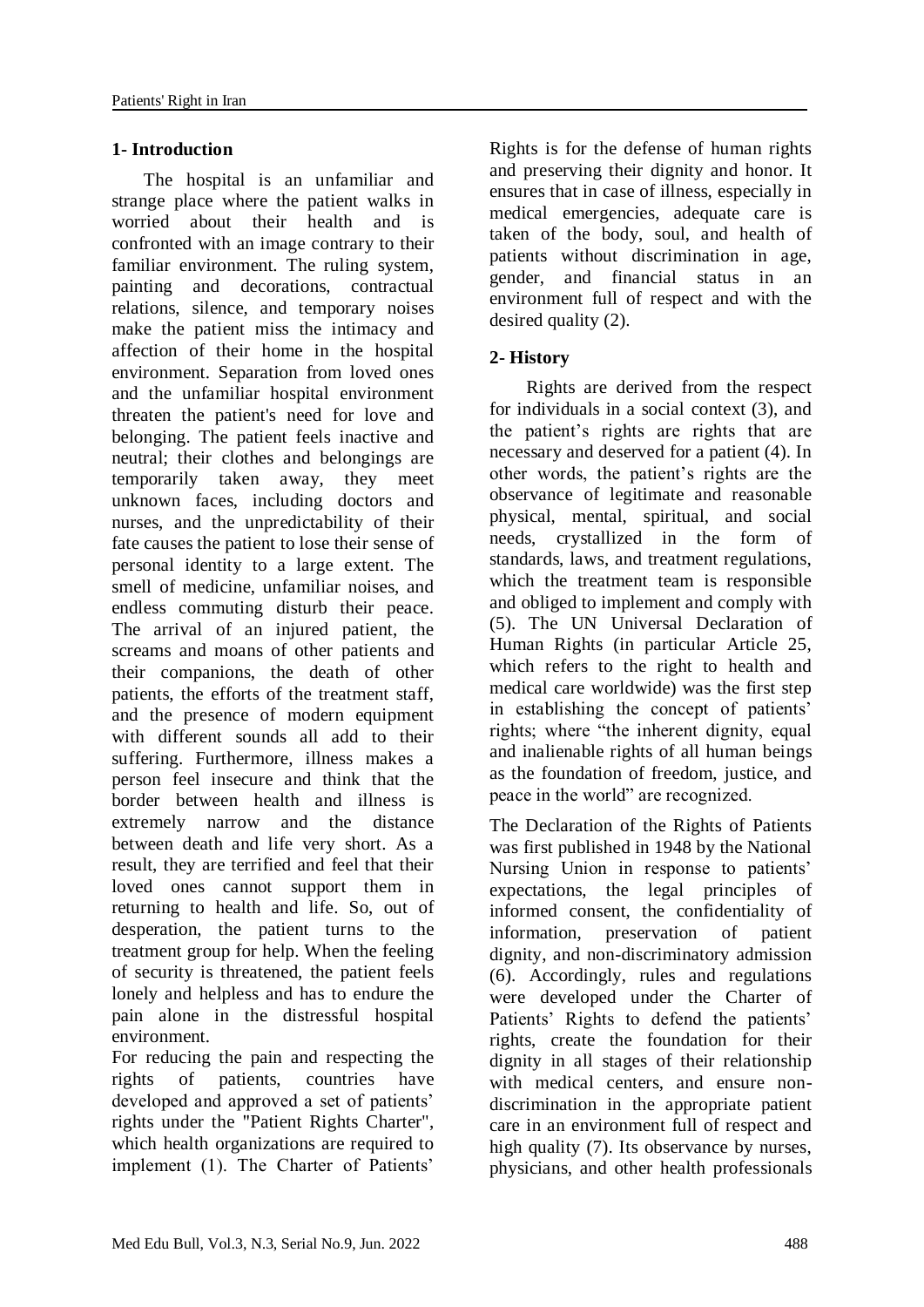# **1- Introduction**

 The hospital is an unfamiliar and strange place where the patient walks in worried about their health and is confronted with an image contrary to their familiar environment. The ruling system, painting and decorations, contractual relations, silence, and temporary noises make the patient miss the intimacy and affection of their home in the hospital environment. Separation from loved ones and the unfamiliar hospital environment threaten the patient's need for love and belonging. The patient feels inactive and neutral; their clothes and belongings are temporarily taken away, they meet unknown faces, including doctors and nurses, and the unpredictability of their fate causes the patient to lose their sense of personal identity to a large extent. The smell of medicine, unfamiliar noises, and endless commuting disturb their peace. The arrival of an injured patient, the screams and moans of other patients and their companions, the death of other patients, the efforts of the treatment staff, and the presence of modern equipment with different sounds all add to their suffering. Furthermore, illness makes a person feel insecure and think that the border between health and illness is extremely narrow and the distance between death and life very short. As a result, they are terrified and feel that their loved ones cannot support them in returning to health and life. So, out of desperation, the patient turns to the treatment group for help. When the feeling of security is threatened, the patient feels lonely and helpless and has to endure the pain alone in the distressful hospital environment.

For reducing the pain and respecting the rights of patients, countries have developed and approved a set of patients' rights under the "Patient Rights Charter", which health organizations are required to implement (1). The Charter of Patients'

Rights is for the defense of human rights and preserving their dignity and honor. It ensures that in case of illness, especially in medical emergencies, adequate care is taken of the body, soul, and health of patients without discrimination in age, gender, and financial status in an environment full of respect and with the desired quality (2).

# **2- History**

 Rights are derived from the respect for individuals in a social context (3), and the patient's rights are rights that are necessary and deserved for a patient (4). In other words, the patient's rights are the observance of legitimate and reasonable physical, mental, spiritual, and social needs, crystallized in the form of standards, laws, and treatment regulations, which the treatment team is responsible and obliged to implement and comply with (5). The UN Universal Declaration of Human Rights (in particular Article 25, which refers to the right to health and medical care worldwide) was the first step in establishing the concept of patients' rights; where "the inherent dignity, equal and inalienable rights of all human beings as the foundation of freedom, justice, and peace in the world" are recognized.

The Declaration of the Rights of Patients was first published in 1948 by the National Nursing Union in response to patients' expectations, the legal principles of informed consent, the confidentiality of information, preservation of patient dignity, and non-discriminatory admission (6). Accordingly, rules and regulations were developed under the Charter of Patients' Rights to defend the patients' rights, create the foundation for their dignity in all stages of their relationship with medical centers, and ensure nondiscrimination in the appropriate patient care in an environment full of respect and high quality (7). Its observance by nurses, physicians, and other health professionals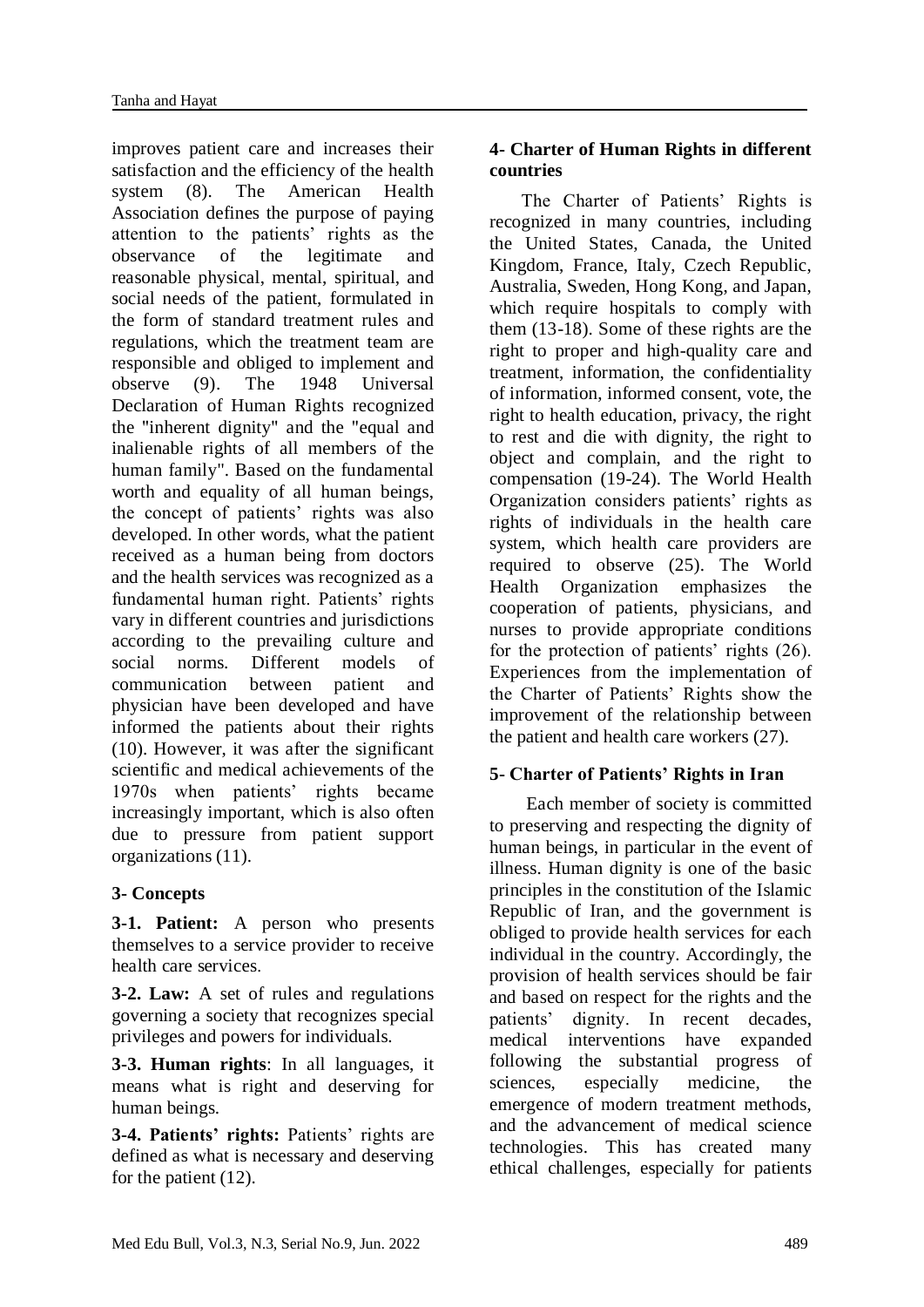improves patient care and increases their satisfaction and the efficiency of the health system (8). The American Health Association defines the purpose of paying attention to the patients' rights as the observance of the legitimate and reasonable physical, mental, spiritual, and social needs of the patient, formulated in the form of standard treatment rules and regulations, which the treatment team are responsible and obliged to implement and observe (9). The 1948 Universal Declaration of Human Rights recognized the "inherent dignity" and the "equal and inalienable rights of all members of the human family". Based on the fundamental worth and equality of all human beings, the concept of patients' rights was also developed. In other words, what the patient received as a human being from doctors and the health services was recognized as a fundamental human right. Patients' rights vary in different countries and jurisdictions according to the prevailing culture and social norms. Different models of communication between patient and physician have been developed and have informed the patients about their rights (10). However, it was after the significant scientific and medical achievements of the 1970s when patients' rights became increasingly important, which is also often due to pressure from patient support organizations (11).

# **3- Concepts**

**3-1. Patient:** A person who presents themselves to a service provider to receive health care services.

**3-2. Law:** A set of rules and regulations governing a society that recognizes special privileges and powers for individuals.

**3-3. Human rights**: In all languages, it means what is right and deserving for human beings.

**3-4. Patients' rights:** Patients' rights are defined as what is necessary and deserving for the patient (12).

# **4- Charter of Human Rights in different countries**

 The Charter of Patients' Rights is recognized in many countries, including the United States, Canada, the United Kingdom, France, Italy, Czech Republic, Australia, Sweden, Hong Kong, and Japan, which require hospitals to comply with them (13-18). Some of these rights are the right to proper and high-quality care and treatment, information, the confidentiality of information, informed consent, vote, the right to health education, privacy, the right to rest and die with dignity, the right to object and complain, and the right to compensation (19-24). The World Health Organization considers patients' rights as rights of individuals in the health care system, which health care providers are required to observe (25). The World Health Organization emphasizes the cooperation of patients, physicians, and nurses to provide appropriate conditions for the protection of patients' rights (26). Experiences from the implementation of the Charter of Patients' Rights show the improvement of the relationship between the patient and health care workers (27).

# **5- Charter of Patients' Rights in Iran**

 Each member of society is committed to preserving and respecting the dignity of human beings, in particular in the event of illness. Human dignity is one of the basic principles in the constitution of the Islamic Republic of Iran, and the government is obliged to provide health services for each individual in the country. Accordingly, the provision of health services should be fair and based on respect for the rights and the patients' dignity. In recent decades, medical interventions have expanded following the substantial progress of sciences, especially medicine, the emergence of modern treatment methods, and the advancement of medical science technologies. This has created many ethical challenges, especially for patients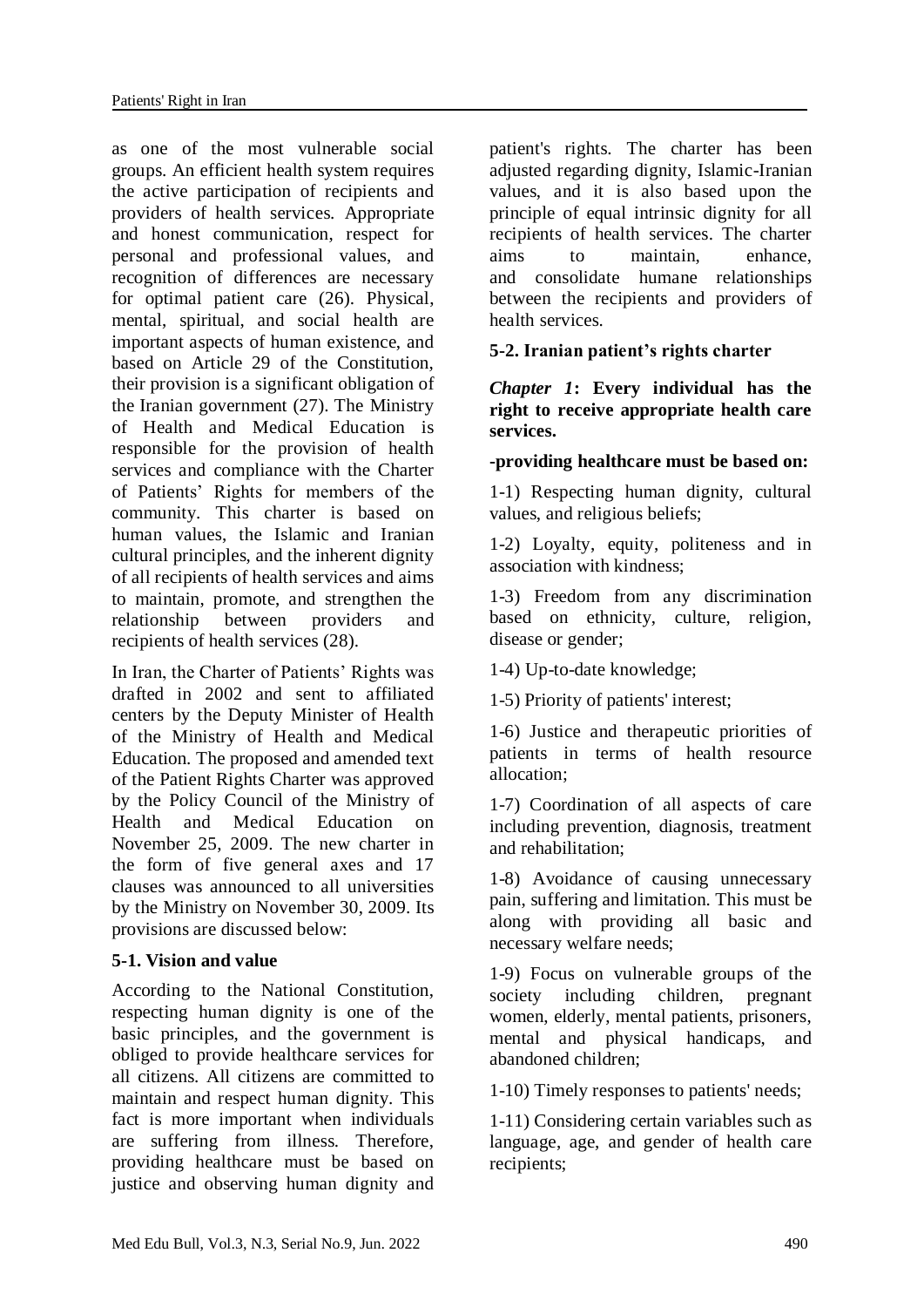as one of the most vulnerable social groups. An efficient health system requires the active participation of recipients and providers of health services. Appropriate and honest communication, respect for personal and professional values, and recognition of differences are necessary for optimal patient care (26). Physical, mental, spiritual, and social health are important aspects of human existence, and based on Article 29 of the Constitution, their provision is a significant obligation of the Iranian government (27). The Ministry of Health and Medical Education is responsible for the provision of health services and compliance with the Charter of Patients' Rights for members of the community. This charter is based on human values, the Islamic and Iranian cultural principles, and the inherent dignity of all recipients of health services and aims to maintain, promote, and strengthen the relationship between providers and recipients of health services (28).

In Iran, the Charter of Patients' Rights was drafted in 2002 and sent to affiliated centers by the Deputy Minister of Health of the Ministry of Health and Medical Education. The proposed and amended text of the Patient Rights Charter was approved by the Policy Council of the Ministry of Health and Medical Education on November 25, 2009. The new charter in the form of five general axes and 17 clauses was announced to all universities by the Ministry on November 30, 2009. Its provisions are discussed below:

#### **5-1. Vision and value**

According to the National Constitution, respecting human dignity is one of the basic principles, and the government is obliged to provide healthcare services for all citizens. All citizens are committed to maintain and respect human dignity. This fact is more important when individuals are suffering from illness. Therefore, providing healthcare must be based on justice and observing human dignity and

patient's rights. The charter has been adjusted regarding dignity, Islamic-Iranian values, and it is also based upon the principle of equal intrinsic dignity for all recipients of health services. The charter aims to maintain, enhance, and consolidate humane relationships between the recipients and providers of health services.

#### **5-2. Iranian patient's rights charter**

*Chapter 1***: Every individual has the right to receive appropriate health care services.**

#### **-providing healthcare must be based on:**

1-1) Respecting human dignity, cultural values, and religious beliefs;

1-2) Loyalty, equity, politeness and in association with kindness;

1-3) Freedom from any discrimination based on ethnicity, culture, religion, disease or gender;

1-4) Up-to-date knowledge;

1-5) Priority of patients' interest;

1-6) Justice and therapeutic priorities of patients in terms of health resource allocation;

1-7) Coordination of all aspects of care including prevention, diagnosis, treatment and rehabilitation;

1-8) Avoidance of causing unnecessary pain, suffering and limitation. This must be along with providing all basic and necessary welfare needs;

1-9) Focus on vulnerable groups of the society including children, pregnant women, elderly, mental patients, prisoners, mental and physical handicaps, and abandoned children;

1-10) Timely responses to patients' needs;

1-11) Considering certain variables such as language, age, and gender of health care recipients;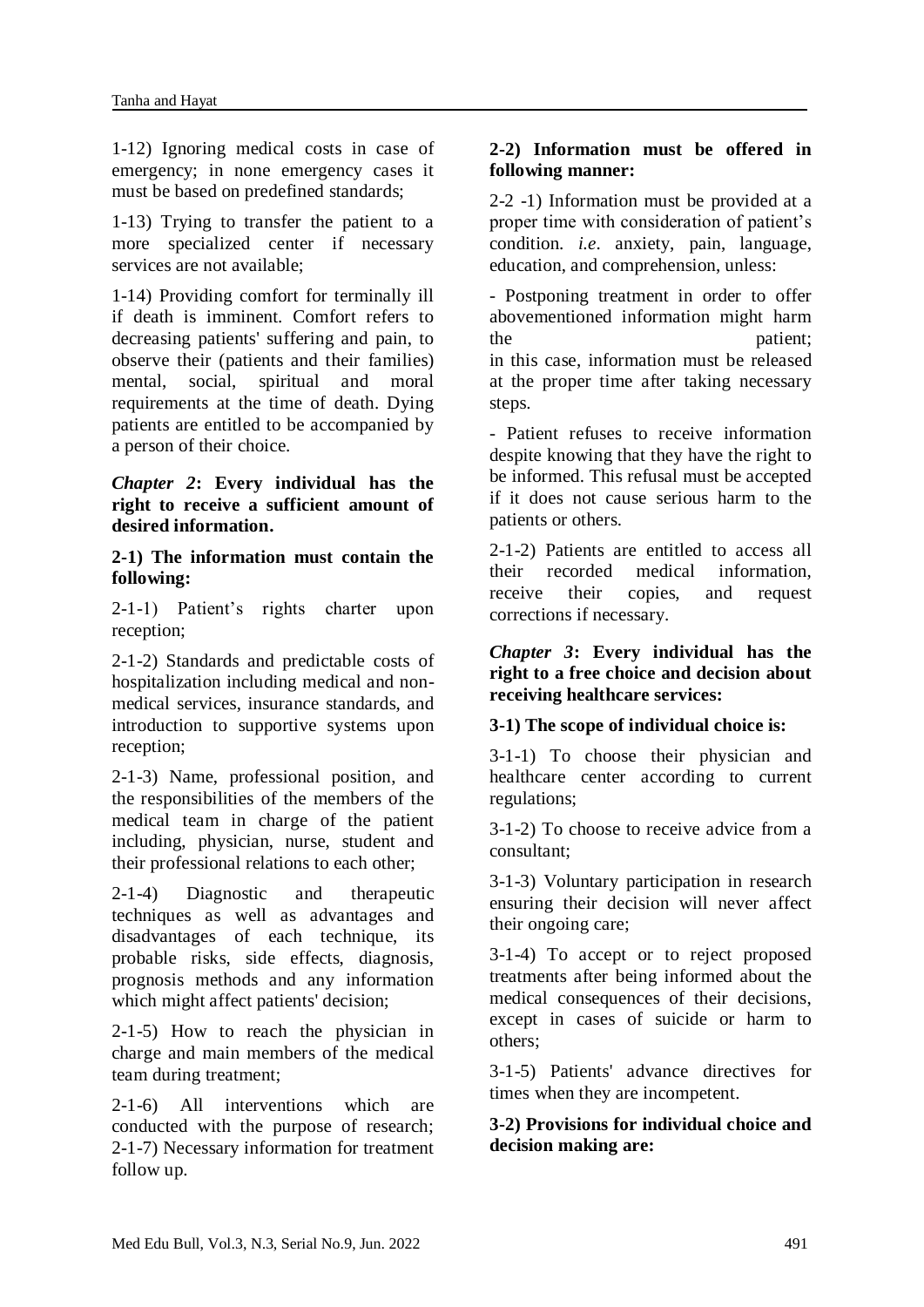1-12) Ignoring medical costs in case of emergency; in none emergency cases it must be based on predefined standards;

1-13) Trying to transfer the patient to a more specialized center if necessary services are not available;

1-14) Providing comfort for terminally ill if death is imminent. Comfort refers to decreasing patients' suffering and pain, to observe their (patients and their families) mental, social, spiritual and moral requirements at the time of death. Dying patients are entitled to be accompanied by a person of their choice.

*Chapter 2***: Every individual has the right to receive a sufficient amount of desired information.**

**2-1) The information must contain the following:**

2-1-1) Patient's rights charter upon reception;

2-1-2) Standards and predictable costs of hospitalization including medical and nonmedical services, insurance standards, and introduction to supportive systems upon reception;

2-1-3) Name, professional position, and the responsibilities of the members of the medical team in charge of the patient including, physician, nurse, student and their professional relations to each other;

2-1-4) Diagnostic and therapeutic techniques as well as advantages and disadvantages of each technique, its probable risks, side effects, diagnosis, prognosis methods and any information which might affect patients' decision;

2-1-5) How to reach the physician in charge and main members of the medical team during treatment;

2-1-6) All interventions which are conducted with the purpose of research; 2-1-7) Necessary information for treatment follow up.

# **2-2) Information must be offered in following manner:**

2-2 -1) Information must be provided at a proper time with consideration of patient's condition. *i.e*. anxiety, pain, language, education, and comprehension, unless:

- Postponing treatment in order to offer abovementioned information might harm the patient: in this case, information must be released at the proper time after taking necessary steps.

- Patient refuses to receive information despite knowing that they have the right to be informed. This refusal must be accepted if it does not cause serious harm to the patients or others.

2-1-2) Patients are entitled to access all their recorded medical information, receive their copies, and request corrections if necessary.

*Chapter 3***: Every individual has the right to a free choice and decision about receiving healthcare services:**

#### **3-1) The scope of individual choice is:**

3-1-1) To choose their physician and healthcare center according to current regulations;

3-1-2) To choose to receive advice from a consultant;

3-1-3) Voluntary participation in research ensuring their decision will never affect their ongoing care;

3-1-4) To accept or to reject proposed treatments after being informed about the medical consequences of their decisions, except in cases of suicide or harm to others;

3-1-5) Patients' advance directives for times when they are incompetent.

# **3-2) Provisions for individual choice and decision making are:**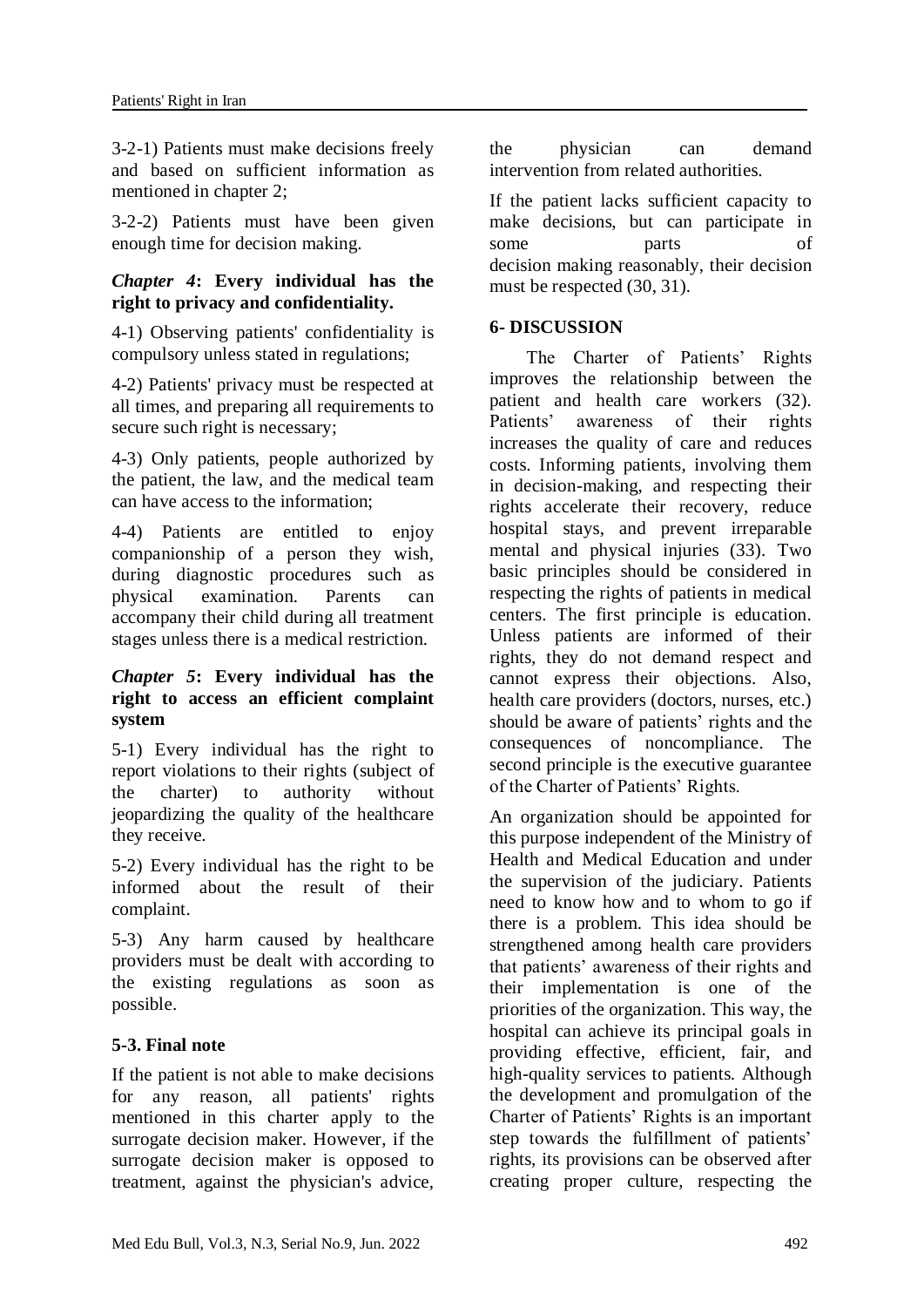3-2-1) Patients must make decisions freely and based on sufficient information as mentioned in chapter 2;

3-2-2) Patients must have been given enough time for decision making.

#### *Chapter 4***: Every individual has the right to privacy and confidentiality.**

4-1) Observing patients' confidentiality is compulsory unless stated in regulations;

4-2) Patients' privacy must be respected at all times, and preparing all requirements to secure such right is necessary;

4-3) Only patients, people authorized by the patient, the law, and the medical team can have access to the information;

4-4) Patients are entitled to enjoy companionship of a person they wish, during diagnostic procedures such as physical examination. Parents can accompany their child during all treatment stages unless there is a medical restriction.

#### *Chapter 5***: Every individual has the right to access an efficient complaint system**

5-1) Every individual has the right to report violations to their rights (subject of the charter) to authority without jeopardizing the quality of the healthcare they receive.

5-2) Every individual has the right to be informed about the result of their complaint.

5-3) Any harm caused by healthcare providers must be dealt with according to the existing regulations as soon as possible.

# **5-3. Final note**

If the patient is not able to make decisions for any reason, all patients' rights mentioned in this charter apply to the surrogate decision maker. However, if the surrogate decision maker is opposed to treatment, against the physician's advice, the physician can demand intervention from related authorities.

If the patient lacks sufficient capacity to make decisions, but can participate in some parts of decision making reasonably, their decision must be respected (30, 31).

## **6- DISCUSSION**

 The Charter of Patients' Rights improves the relationship between the patient and health care workers (32).<br>Patients' awareness of their rights awareness of their rights increases the quality of care and reduces costs. Informing patients, involving them in decision-making, and respecting their rights accelerate their recovery, reduce hospital stays, and prevent irreparable mental and physical injuries (33). Two basic principles should be considered in respecting the rights of patients in medical centers. The first principle is education. Unless patients are informed of their rights, they do not demand respect and cannot express their objections. Also, health care providers (doctors, nurses, etc.) should be aware of patients' rights and the consequences of noncompliance. The second principle is the executive guarantee of the Charter of Patients' Rights.

An organization should be appointed for this purpose independent of the Ministry of Health and Medical Education and under the supervision of the judiciary. Patients need to know how and to whom to go if there is a problem. This idea should be strengthened among health care providers that patients' awareness of their rights and their implementation is one of the priorities of the organization. This way, the hospital can achieve its principal goals in providing effective, efficient, fair, and high-quality services to patients. Although the development and promulgation of the Charter of Patients' Rights is an important step towards the fulfillment of patients' rights, its provisions can be observed after creating proper culture, respecting the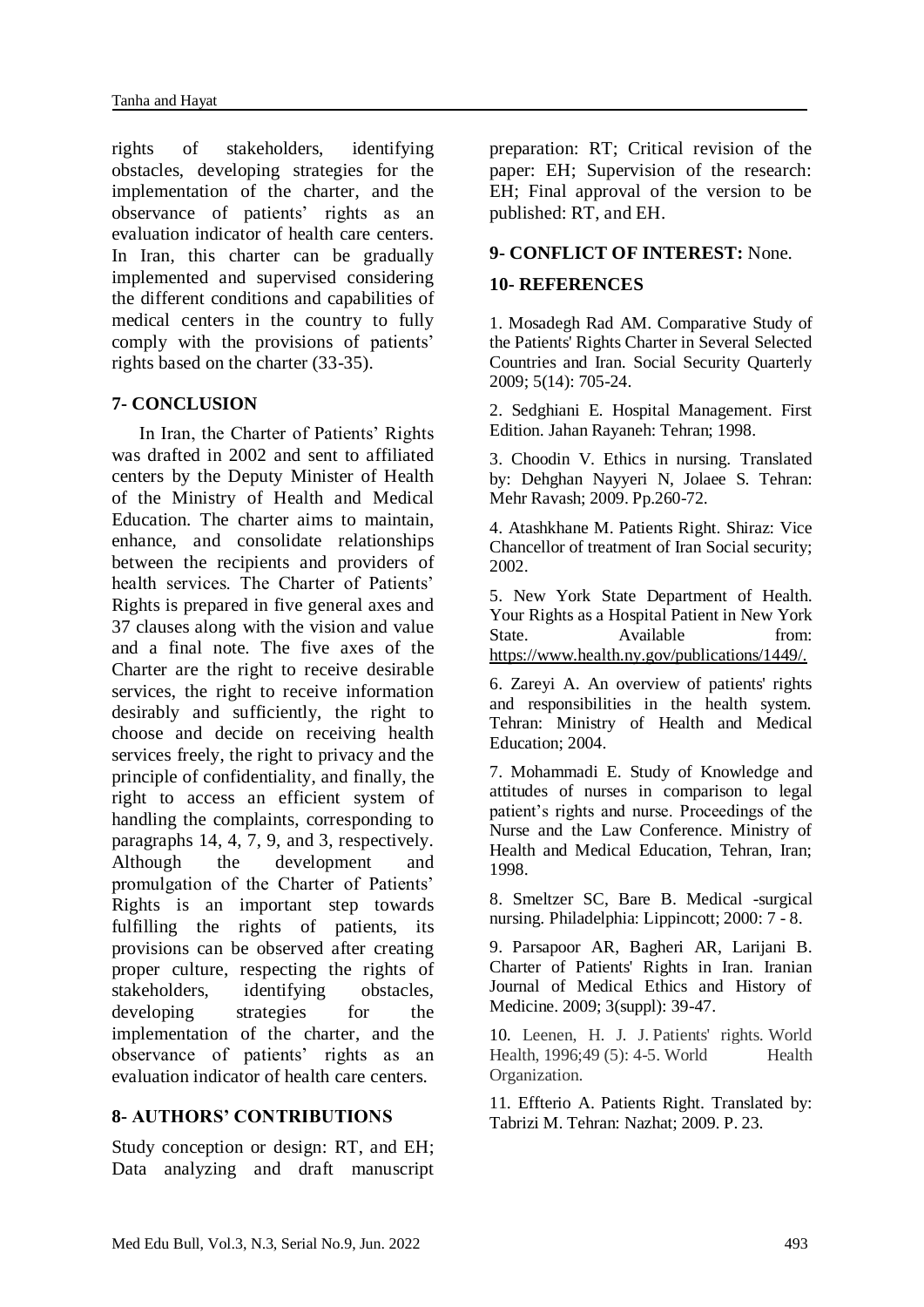rights of stakeholders, identifying obstacles, developing strategies for the implementation of the charter, and the observance of patients' rights as an evaluation indicator of health care centers. In Iran, this charter can be gradually implemented and supervised considering the different conditions and capabilities of medical centers in the country to fully comply with the provisions of patients' rights based on the charter (33-35).

#### **7- CONCLUSION**

 In Iran, the Charter of Patients' Rights was drafted in 2002 and sent to affiliated centers by the Deputy Minister of Health of the Ministry of Health and Medical Education. The charter aims to maintain, enhance, and consolidate relationships between the recipients and providers of health services. The Charter of Patients' Rights is prepared in five general axes and 37 clauses along with the vision and value and a final note. The five axes of the Charter are the right to receive desirable services, the right to receive information desirably and sufficiently, the right to choose and decide on receiving health services freely, the right to privacy and the principle of confidentiality, and finally, the right to access an efficient system of handling the complaints, corresponding to paragraphs 14, 4, 7, 9, and 3, respectively. Although the development and promulgation of the Charter of Patients' Rights is an important step towards fulfilling the rights of patients, its provisions can be observed after creating proper culture, respecting the rights of stakeholders, identifying obstacles, developing strategies for the implementation of the charter, and the observance of patients' rights as an evaluation indicator of health care centers.

#### **8- AUTHORS' CONTRIBUTIONS**

Study conception or design: RT, and EH; Data analyzing and draft manuscript preparation: RT; Critical revision of the paper: EH; Supervision of the research: EH; Final approval of the version to be published: RT, and EH.

## **9- CONFLICT OF INTEREST:** None.

## **10- REFERENCES**

1. Mosadegh Rad AM. Comparative Study of the Patients' Rights Charter in Several Selected Countries and Iran. Social Security Quarterly 2009; 5(14): 705-24.

2. Sedghiani E. Hospital Management. First Edition. Jahan Rayaneh: Tehran; 1998.

3. Choodin V. Ethics in nursing. Translated by: Dehghan Nayyeri N, Jolaee S. Tehran: Mehr Ravash; 2009. Pp.260-72.

4. Atashkhane M. Patients Right. Shiraz: Vice Chancellor of treatment of Iran Social security; 2002.

5. New York State Department of Health. Your Rights as a Hospital Patient in New York State. Available from: https://www.health.ny.gov/publications/1449/.

6. Zareyi A. An overview of patients' rights and responsibilities in the health system. Tehran: Ministry of Health and Medical Education; 2004.

7. Mohammadi E. Study of Knowledge and attitudes of nurses in comparison to legal patient's rights and nurse. Proceedings of the Nurse and the Law Conference. Ministry of Health and Medical Education, Tehran, Iran; 1998.

8. Smeltzer SC, Bare B. Medical -surgical nursing. Philadelphia: Lippincott; 2000: 7 - 8.

9. Parsapoor AR, Bagheri AR, Larijani B. Charter of Patients' Rights in Iran. Iranian Journal of Medical Ethics and History of Medicine. 2009; 3(suppl): 39-47.

10. Leenen, H. J. J. Patients' rights. World Health, 1996; 49 (5): 4-5. World Health Organization.

11. Effterio A. Patients Right. Translated by: Tabrizi M. Tehran: Nazhat; 2009. P. 23.